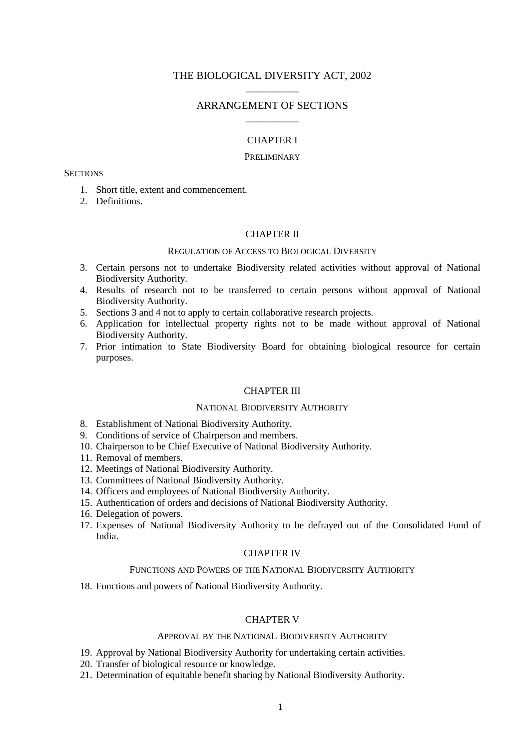# THE BIOLOGICAL DIVERSITY ACT, 2002 \_\_\_\_\_\_\_\_\_\_

# ARRANGEMENT OF SECTIONS \_\_\_\_\_\_\_\_\_\_

### CHAPTER I

#### PRELIMINARY

## **SECTIONS**

- 1. Short title, extent and commencement.
- 2. Definitions.

# CHAPTER II

# REGULATION OF ACCESS TO BIOLOGICAL DIVERSITY

- 3. Certain persons not to undertake Biodiversity related activities without approval of National Biodiversity Authority.
- 4. Results of research not to be transferred to certain persons without approval of National Biodiversity Authority.
- 5. Sections 3 and 4 not to apply to certain collaborative research projects.
- 6. Application for intellectual property rights not to be made without approval of National Biodiversity Authority.
- 7. Prior intimation to State Biodiversity Board for obtaining biological resource for certain purposes.

### CHAPTER III

### NATIONAL BIODIVERSITY AUTHORITY

- 8. Establishment of National Biodiversity Authority.
- 9. Conditions of service of Chairperson and members.
- 10. Chairperson to be Chief Executive of National Biodiversity Authority.
- 11. Removal of members.
- 12. Meetings of National Biodiversity Authority.
- 13. Committees of National Biodiversity Authority.
- 14. Officers and employees of National Biodiversity Authority.
- 15. Authentication of orders and decisions of National Biodiversity Authority.
- 16. Delegation of powers.
- 17. Expenses of National Biodiversity Authority to be defrayed out of the Consolidated Fund of India.

# CHAPTER IV

# FUNCTIONS AND POWERS OF THE NATIONAL BIODIVERSITY AUTHORITY

18. Functions and powers of National Biodiversity Authority.

# CHAPTER V

# APPROVAL BY THE NATIONAL BIODIVERSITY AUTHORITY

- 19. Approval by National Biodiversity Authority for undertaking certain activities.
- 20. Transfer of biological resource or knowledge.
- 21. Determination of equitable benefit sharing by National Biodiversity Authority.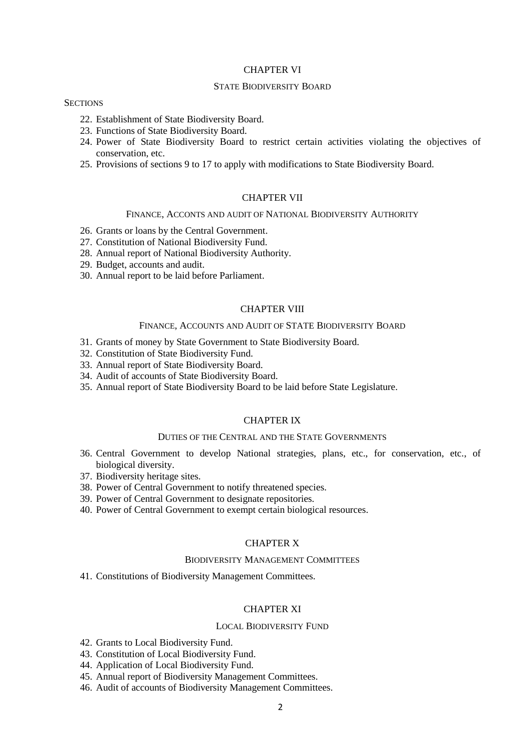### CHAPTER VI

### STATE BIODIVERSITY BOARD

# **SECTIONS**

- 22. Establishment of State Biodiversity Board.
- 23. Functions of State Biodiversity Board.
- 24. Power of State Biodiversity Board to restrict certain activities violating the objectives of conservation, etc.
- 25. Provisions of sections 9 to 17 to apply with modifications to State Biodiversity Board.

### CHAPTER VII

### FINANCE, ACCONTS AND AUDIT OF NATIONAL BIODIVERSITY AUTHORITY

- 26. Grants or loans by the Central Government.
- 27. Constitution of National Biodiversity Fund.
- 28. Annual report of National Biodiversity Authority.
- 29. Budget, accounts and audit.
- 30. Annual report to be laid before Parliament.

# CHAPTER VIII

### FINANCE, ACCOUNTS AND AUDIT OF STATE BIODIVERSITY BOARD

- 31. Grants of money by State Government to State Biodiversity Board.
- 32. Constitution of State Biodiversity Fund.
- 33. Annual report of State Biodiversity Board.
- 34. Audit of accounts of State Biodiversity Board.
- 35. Annual report of State Biodiversity Board to be laid before State Legislature.

### CHAPTER IX

#### DUTIES OF THE CENTRAL AND THE STATE GOVERNMENTS

- 36. Central Government to develop National strategies, plans, etc., for conservation, etc., of biological diversity.
- 37. Biodiversity heritage sites.
- 38. Power of Central Government to notify threatened species.
- 39. Power of Central Government to designate repositories.
- 40. Power of Central Government to exempt certain biological resources.

# CHAPTER X

#### BIODIVERSITY MANAGEMENT COMMITTEES

41. Constitutions of Biodiversity Management Committees.

# CHAPTER XI

### LOCAL BIODIVERSITY FUND

- 42. Grants to Local Biodiversity Fund.
- 43. Constitution of Local Biodiversity Fund.
- 44. Application of Local Biodiversity Fund.
- 45. Annual report of Biodiversity Management Committees.
- 46. Audit of accounts of Biodiversity Management Committees.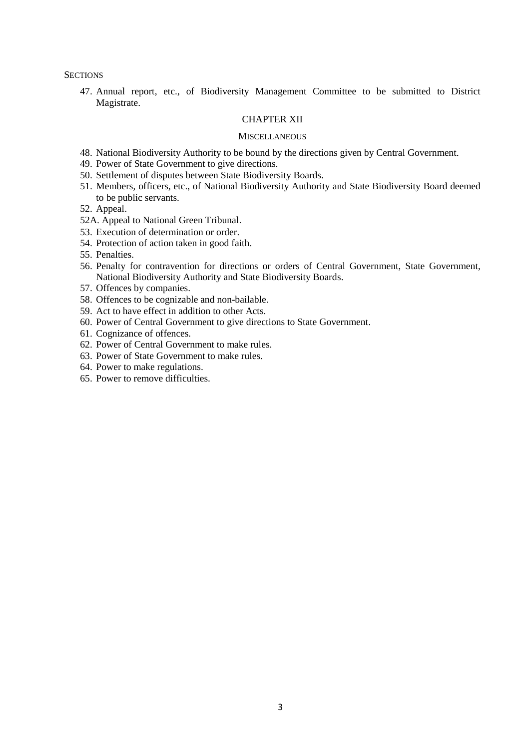**SECTIONS** 

47. Annual report, etc., of Biodiversity Management Committee to be submitted to District Magistrate.

# CHAPTER XII

#### **MISCELLANEOUS**

- 48. National Biodiversity Authority to be bound by the directions given by Central Government.
- 49. Power of State Government to give directions.
- 50. Settlement of disputes between State Biodiversity Boards.
- 51. Members, officers, etc., of National Biodiversity Authority and State Biodiversity Board deemed to be public servants.
- 52. Appeal.
- 52A. Appeal to National Green Tribunal.
- 53. Execution of determination or order.
- 54. Protection of action taken in good faith.
- 55. Penalties.
- 56. Penalty for contravention for directions or orders of Central Government, State Government, National Biodiversity Authority and State Biodiversity Boards.
- 57. Offences by companies.
- 58. Offences to be cognizable and non-bailable.
- 59. Act to have effect in addition to other Acts.
- 60. Power of Central Government to give directions to State Government.
- 61. Cognizance of offences.
- 62. Power of Central Government to make rules.
- 63. Power of State Government to make rules.
- 64. Power to make regulations.
- 65. Power to remove difficulties.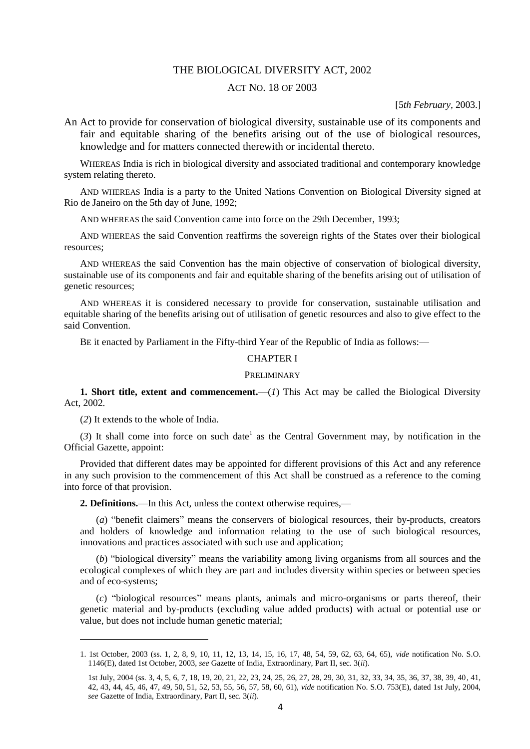### THE BIOLOGICAL DIVERSITY ACT, 2002

# ACT NO. 18 OF 2003

# [5*th February,* 2003.]

An Act to provide for conservation of biological diversity, sustainable use of its components and fair and equitable sharing of the benefits arising out of the use of biological resources, knowledge and for matters connected therewith or incidental thereto.

WHEREAS India is rich in biological diversity and associated traditional and contemporary knowledge system relating thereto.

AND WHEREAS India is a party to the United Nations Convention on Biological Diversity signed at Rio de Janeiro on the 5th day of June, 1992;

AND WHEREAS the said Convention came into force on the 29th December, 1993;

AND WHEREAS the said Convention reaffirms the sovereign rights of the States over their biological resources;

AND WHEREAS the said Convention has the main objective of conservation of biological diversity, sustainable use of its components and fair and equitable sharing of the benefits arising out of utilisation of genetic resources;

AND WHEREAS it is considered necessary to provide for conservation, sustainable utilisation and equitable sharing of the benefits arising out of utilisation of genetic resources and also to give effect to the said Convention.

BE it enacted by Parliament in the Fifty-third Year of the Republic of India as follows:—

# CHAPTER I

## PRELIMINARY

**1. Short title, extent and commencement.**—(*1*) This Act may be called the Biological Diversity Act, 2002.

(*2*) It extends to the whole of India.

1

(3) It shall come into force on such date<sup>1</sup> as the Central Government may, by notification in the Official Gazette, appoint:

Provided that different dates may be appointed for different provisions of this Act and any reference in any such provision to the commencement of this Act shall be construed as a reference to the coming into force of that provision.

**2. Definitions.**—In this Act, unless the context otherwise requires,—

(*a*) "benefit claimers" means the conservers of biological resources, their by-products, creators and holders of knowledge and information relating to the use of such biological resources, innovations and practices associated with such use and application;

(*b*) "biological diversity" means the variability among living organisms from all sources and the ecological complexes of which they are part and includes diversity within species or between species and of eco-systems;

(*c*) "biological resources" means plants, animals and micro-organisms or parts thereof, their genetic material and by-products (excluding value added products) with actual or potential use or value, but does not include human genetic material;

<sup>1. 1</sup>st October, 2003 (ss. 1, 2, 8, 9, 10, 11, 12, 13, 14, 15, 16, 17, 48, 54, 59, 62, 63, 64, 65), *vide* notification No. S.O. 1146(E), dated 1st October, 2003, *see* Gazette of India, Extraordinary, Part II, sec. 3(*ii*).

<sup>1</sup>st July, 2004 (ss. 3, 4, 5, 6, 7, 18, 19, 20, 21, 22, 23, 24, 25, 26, 27, 28, 29, 30, 31, 32, 33, 34, 35, 36, 37, 38, 39, 40, 41, 42, 43, 44, 45, 46, 47, 49, 50, 51, 52, 53, 55, 56, 57, 58, 60, 61), *vide* notification No. S.O. 753(E), dated 1st July, 2004, *see* Gazette of India, Extraordinary, Part II, sec. 3(*ii*).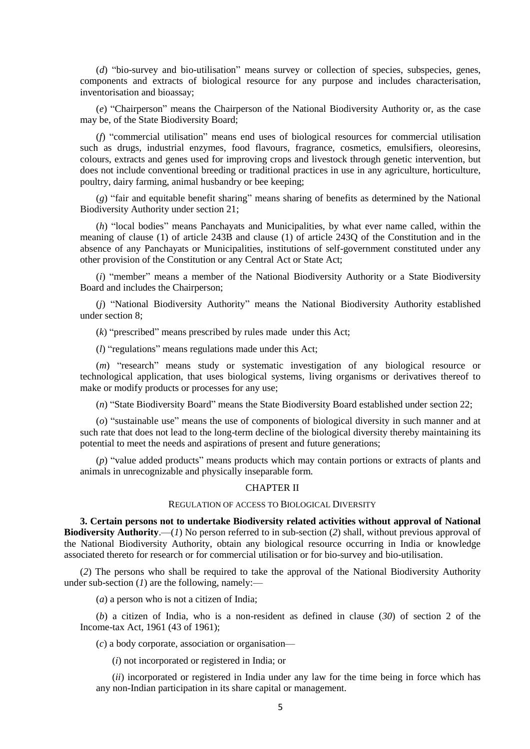(*d*) "bio-survey and bio-utilisation" means survey or collection of species, subspecies, genes, components and extracts of biological resource for any purpose and includes characterisation, inventorisation and bioassay;

(*e*) "Chairperson" means the Chairperson of the National Biodiversity Authority or, as the case may be, of the State Biodiversity Board;

(*f*) "commercial utilisation" means end uses of biological resources for commercial utilisation such as drugs, industrial enzymes, food flavours, fragrance, cosmetics, emulsifiers, oleoresins, colours, extracts and genes used for improving crops and livestock through genetic intervention, but does not include conventional breeding or traditional practices in use in any agriculture, horticulture, poultry, dairy farming, animal husbandry or bee keeping;

(*g*) "fair and equitable benefit sharing" means sharing of benefits as determined by the National Biodiversity Authority under section 21;

(*h*) "local bodies" means Panchayats and Municipalities, by what ever name called, within the meaning of clause (1) of article 243B and clause (1) of article 243Q of the Constitution and in the absence of any Panchayats or Municipalities, institutions of self-government constituted under any other provision of the Constitution or any Central Act or State Act;

(*i*) "member" means a member of the National Biodiversity Authority or a State Biodiversity Board and includes the Chairperson;

(*j*) "National Biodiversity Authority" means the National Biodiversity Authority established under section 8;

(*k*) "prescribed" means prescribed by rules made under this Act;

(*l*) "regulations" means regulations made under this Act;

(*m*) "research" means study or systematic investigation of any biological resource or technological application, that uses biological systems, living organisms or derivatives thereof to make or modify products or processes for any use;

(*n*) "State Biodiversity Board" means the State Biodiversity Board established under section 22;

(*o*) "sustainable use" means the use of components of biological diversity in such manner and at such rate that does not lead to the long-term decline of the biological diversity thereby maintaining its potential to meet the needs and aspirations of present and future generations;

(*p*) "value added products" means products which may contain portions or extracts of plants and animals in unrecognizable and physically inseparable form.

### CHAPTER II

### REGULATION OF ACCESS TO BIOLOGICAL DIVERSITY

**3. Certain persons not to undertake Biodiversity related activities without approval of National Biodiversity Authority**.—(*1*) No person referred to in sub-section (*2*) shall, without previous approval of the National Biodiversity Authority, obtain any biological resource occurring in India or knowledge associated thereto for research or for commercial utilisation or for bio-survey and bio-utilisation.

(*2*) The persons who shall be required to take the approval of the National Biodiversity Authority under sub-section (*1*) are the following, namely:—

(*a*) a person who is not a citizen of India;

(*b*) a citizen of India, who is a non-resident as defined in clause (*30*) of section 2 of the Income-tax Act, 1961 (43 of 1961);

(*c*) a body corporate, association or organisation—

(*i*) not incorporated or registered in India; or

(*ii*) incorporated or registered in India under any law for the time being in force which has any non-Indian participation in its share capital or management.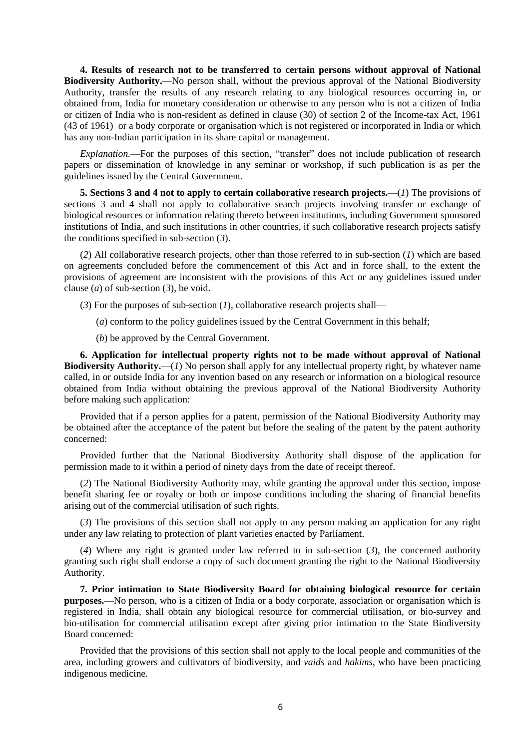**4. Results of research not to be transferred to certain persons without approval of National Biodiversity Authority.**—No person shall, without the previous approval of the National Biodiversity Authority, transfer the results of any research relating to any biological resources occurring in, or obtained from, India for monetary consideration or otherwise to any person who is not a citizen of India or citizen of India who is non-resident as defined in clause (30) of section 2 of the Income-tax Act, 1961 (43 of 1961) or a body corporate or organisation which is not registered or incorporated in India or which has any non-Indian participation in its share capital or management.

*Explanation.*—For the purposes of this section, "transfer" does not include publication of research papers or dissemination of knowledge in any seminar or workshop, if such publication is as per the guidelines issued by the Central Government.

**5. Sections 3 and 4 not to apply to certain collaborative research projects.**—(*1*) The provisions of sections 3 and 4 shall not apply to collaborative search projects involving transfer or exchange of biological resources or information relating thereto between institutions, including Government sponsored institutions of India, and such institutions in other countries, if such collaborative research projects satisfy the conditions specified in sub-section (*3*).

(*2*) All collaborative research projects, other than those referred to in sub-section (*1*) which are based on agreements concluded before the commencement of this Act and in force shall, to the extent the provisions of agreement are inconsistent with the provisions of this Act or any guidelines issued under clause (*a*) of sub-section (*3*), be void.

- (*3*) For the purposes of sub-section (*1*), collaborative research projects shall—
	- (*a*) conform to the policy guidelines issued by the Central Government in this behalf;
	- (*b*) be approved by the Central Government.

**6. Application for intellectual property rights not to be made without approval of National Biodiversity Authority.**—(*1*) No person shall apply for any intellectual property right, by whatever name called, in or outside India for any invention based on any research or information on a biological resource obtained from India without obtaining the previous approval of the National Biodiversity Authority before making such application:

Provided that if a person applies for a patent, permission of the National Biodiversity Authority may be obtained after the acceptance of the patent but before the sealing of the patent by the patent authority concerned:

Provided further that the National Biodiversity Authority shall dispose of the application for permission made to it within a period of ninety days from the date of receipt thereof.

(*2*) The National Biodiversity Authority may, while granting the approval under this section, impose benefit sharing fee or royalty or both or impose conditions including the sharing of financial benefits arising out of the commercial utilisation of such rights.

(*3*) The provisions of this section shall not apply to any person making an application for any right under any law relating to protection of plant varieties enacted by Parliament.

(*4*) Where any right is granted under law referred to in sub-section (*3*), the concerned authority granting such right shall endorse a copy of such document granting the right to the National Biodiversity Authority.

**7. Prior intimation to State Biodiversity Board for obtaining biological resource for certain purposes.**—No person, who is a citizen of India or a body corporate, association or organisation which is registered in India, shall obtain any biological resource for commercial utilisation, or bio-survey and bio-utilisation for commercial utilisation except after giving prior intimation to the State Biodiversity Board concerned:

Provided that the provisions of this section shall not apply to the local people and communities of the area, including growers and cultivators of biodiversity, and *vaids* and *hakims*, who have been practicing indigenous medicine.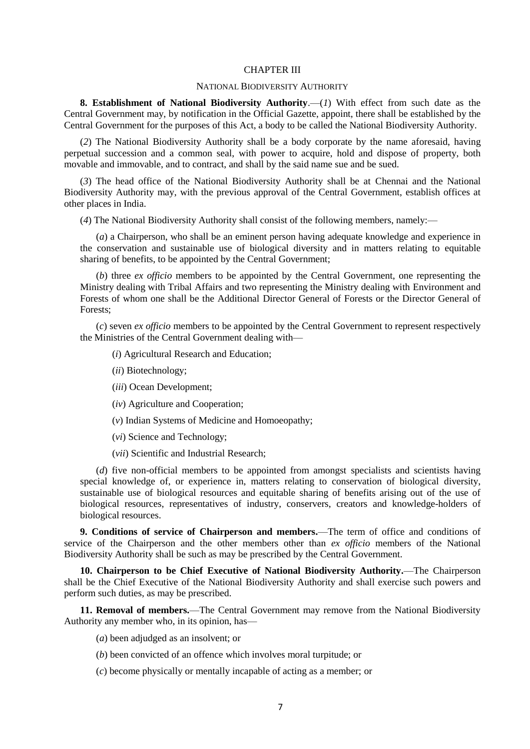### CHAPTER III

### NATIONAL BIODIVERSITY AUTHORITY

**8. Establishment of National Biodiversity Authority**.—(*1*) With effect from such date as the Central Government may, by notification in the Official Gazette, appoint, there shall be established by the Central Government for the purposes of this Act, a body to be called the National Biodiversity Authority.

(*2*) The National Biodiversity Authority shall be a body corporate by the name aforesaid, having perpetual succession and a common seal, with power to acquire, hold and dispose of property, both movable and immovable, and to contract, and shall by the said name sue and be sued.

(*3*) The head office of the National Biodiversity Authority shall be at Chennai and the National Biodiversity Authority may, with the previous approval of the Central Government, establish offices at other places in India.

(*4*) The National Biodiversity Authority shall consist of the following members, namely:—

(*a*) a Chairperson, who shall be an eminent person having adequate knowledge and experience in the conservation and sustainable use of biological diversity and in matters relating to equitable sharing of benefits, to be appointed by the Central Government;

(*b*) three *ex officio* members to be appointed by the Central Government, one representing the Ministry dealing with Tribal Affairs and two representing the Ministry dealing with Environment and Forests of whom one shall be the Additional Director General of Forests or the Director General of Forests;

(*c*) seven *ex officio* members to be appointed by the Central Government to represent respectively the Ministries of the Central Government dealing with—

(*i*) Agricultural Research and Education;

- (*ii*) Biotechnology;
- (*iii*) Ocean Development;
- (*iv*) Agriculture and Cooperation;
- (*v*) Indian Systems of Medicine and Homoeopathy;

(*vi*) Science and Technology;

(*vii*) Scientific and Industrial Research;

(*d*) five non-official members to be appointed from amongst specialists and scientists having special knowledge of, or experience in, matters relating to conservation of biological diversity, sustainable use of biological resources and equitable sharing of benefits arising out of the use of biological resources, representatives of industry, conservers, creators and knowledge-holders of biological resources.

**9. Conditions of service of Chairperson and members.**—The term of office and conditions of service of the Chairperson and the other members other than *ex officio* members of the National Biodiversity Authority shall be such as may be prescribed by the Central Government.

**10. Chairperson to be Chief Executive of National Biodiversity Authority.**—The Chairperson shall be the Chief Executive of the National Biodiversity Authority and shall exercise such powers and perform such duties, as may be prescribed.

**11. Removal of members.**—The Central Government may remove from the National Biodiversity Authority any member who, in its opinion, has—

- (*a*) been adjudged as an insolvent; or
- (*b*) been convicted of an offence which involves moral turpitude; or
- (*c*) become physically or mentally incapable of acting as a member; or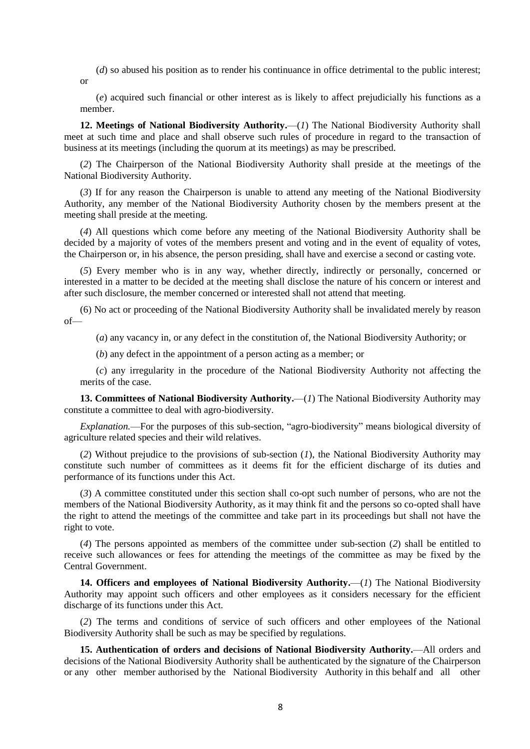(*d*) so abused his position as to render his continuance in office detrimental to the public interest; or

(*e*) acquired such financial or other interest as is likely to affect prejudicially his functions as a member.

12. Meetings of National Biodiversity Authority.—(1) The National Biodiversity Authority shall meet at such time and place and shall observe such rules of procedure in regard to the transaction of business at its meetings (including the quorum at its meetings) as may be prescribed.

(*2*) The Chairperson of the National Biodiversity Authority shall preside at the meetings of the National Biodiversity Authority.

(*3*) If for any reason the Chairperson is unable to attend any meeting of the National Biodiversity Authority, any member of the National Biodiversity Authority chosen by the members present at the meeting shall preside at the meeting.

(*4*) All questions which come before any meeting of the National Biodiversity Authority shall be decided by a majority of votes of the members present and voting and in the event of equality of votes, the Chairperson or, in his absence, the person presiding, shall have and exercise a second or casting vote.

(*5*) Every member who is in any way, whether directly, indirectly or personally, concerned or interested in a matter to be decided at the meeting shall disclose the nature of his concern or interest and after such disclosure, the member concerned or interested shall not attend that meeting.

(6) No act or proceeding of the National Biodiversity Authority shall be invalidated merely by reason of—

(*a*) any vacancy in, or any defect in the constitution of, the National Biodiversity Authority; or

(*b*) any defect in the appointment of a person acting as a member; or

(*c*) any irregularity in the procedure of the National Biodiversity Authority not affecting the merits of the case.

**13. Committees of National Biodiversity Authority.**—(*1*) The National Biodiversity Authority may constitute a committee to deal with agro-biodiversity.

*Explanation.*—For the purposes of this sub-section, "agro-biodiversity" means biological diversity of agriculture related species and their wild relatives.

(*2*) Without prejudice to the provisions of sub-section (*1*), the National Biodiversity Authority may constitute such number of committees as it deems fit for the efficient discharge of its duties and performance of its functions under this Act.

(*3*) A committee constituted under this section shall co-opt such number of persons, who are not the members of the National Biodiversity Authority, as it may think fit and the persons so co-opted shall have the right to attend the meetings of the committee and take part in its proceedings but shall not have the right to vote.

(*4*) The persons appointed as members of the committee under sub-section (*2*) shall be entitled to receive such allowances or fees for attending the meetings of the committee as may be fixed by the Central Government.

**14. Officers and employees of National Biodiversity Authority.**—(*1*) The National Biodiversity Authority may appoint such officers and other employees as it considers necessary for the efficient discharge of its functions under this Act.

(*2*) The terms and conditions of service of such officers and other employees of the National Biodiversity Authority shall be such as may be specified by regulations.

**15. Authentication of orders and decisions of National Biodiversity Authority.**—All orders and decisions of the National Biodiversity Authority shall be authenticated by the signature of the Chairperson or any other member authorised by the National Biodiversity Authority in this behalf and all other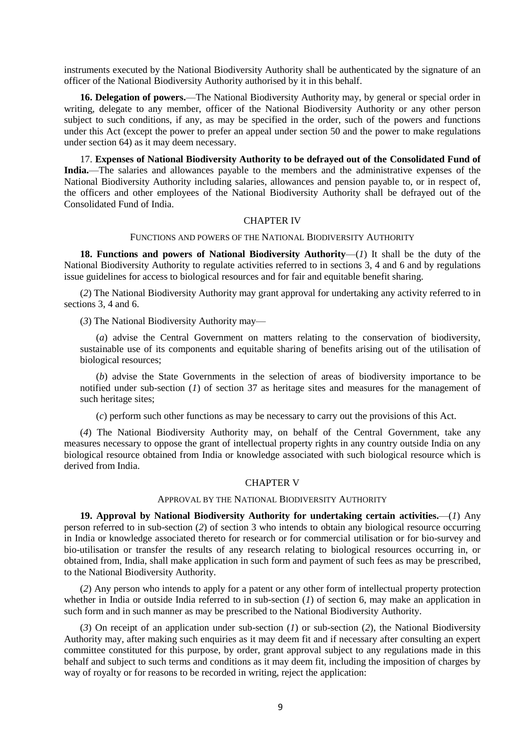instruments executed by the National Biodiversity Authority shall be authenticated by the signature of an officer of the National Biodiversity Authority authorised by it in this behalf.

**16. Delegation of powers.**—The National Biodiversity Authority may, by general or special order in writing, delegate to any member, officer of the National Biodiversity Authority or any other person subject to such conditions, if any, as may be specified in the order, such of the powers and functions under this Act (except the power to prefer an appeal under section 50 and the power to make regulations under section 64) as it may deem necessary.

17. **Expenses of National Biodiversity Authority to be defrayed out of the Consolidated Fund of India.**—The salaries and allowances payable to the members and the administrative expenses of the National Biodiversity Authority including salaries, allowances and pension payable to, or in respect of, the officers and other employees of the National Biodiversity Authority shall be defrayed out of the Consolidated Fund of India.

# CHAPTER IV

### FUNCTIONS AND POWERS OF THE NATIONAL BIODIVERSITY AUTHORITY

**18. Functions and powers of National Biodiversity Authority**—(*1*) It shall be the duty of the National Biodiversity Authority to regulate activities referred to in sections 3, 4 and 6 and by regulations issue guidelines for access to biological resources and for fair and equitable benefit sharing.

(*2*) The National Biodiversity Authority may grant approval for undertaking any activity referred to in sections 3, 4 and 6.

(*3*) The National Biodiversity Authority may—

(*a*) advise the Central Government on matters relating to the conservation of biodiversity, sustainable use of its components and equitable sharing of benefits arising out of the utilisation of biological resources;

(*b*) advise the State Governments in the selection of areas of biodiversity importance to be notified under sub-section (*1*) of section 37 as heritage sites and measures for the management of such heritage sites;

(*c*) perform such other functions as may be necessary to carry out the provisions of this Act.

(*4*) The National Biodiversity Authority may, on behalf of the Central Government, take any measures necessary to oppose the grant of intellectual property rights in any country outside India on any biological resource obtained from India or knowledge associated with such biological resource which is derived from India.

# CHAPTER V

### APPROVAL BY THE NATIONAL BIODIVERSITY AUTHORITY

**19. Approval by National Biodiversity Authority for undertaking certain activities.**—(*1*) Any person referred to in sub-section (*2*) of section 3 who intends to obtain any biological resource occurring in India or knowledge associated thereto for research or for commercial utilisation or for bio-survey and bio-utilisation or transfer the results of any research relating to biological resources occurring in, or obtained from, India, shall make application in such form and payment of such fees as may be prescribed, to the National Biodiversity Authority.

(*2*) Any person who intends to apply for a patent or any other form of intellectual property protection whether in India or outside India referred to in sub-section (*1*) of section 6, may make an application in such form and in such manner as may be prescribed to the National Biodiversity Authority.

(*3*) On receipt of an application under sub-section (*1*) or sub-section (*2*), the National Biodiversity Authority may, after making such enquiries as it may deem fit and if necessary after consulting an expert committee constituted for this purpose, by order, grant approval subject to any regulations made in this behalf and subject to such terms and conditions as it may deem fit, including the imposition of charges by way of royalty or for reasons to be recorded in writing, reject the application: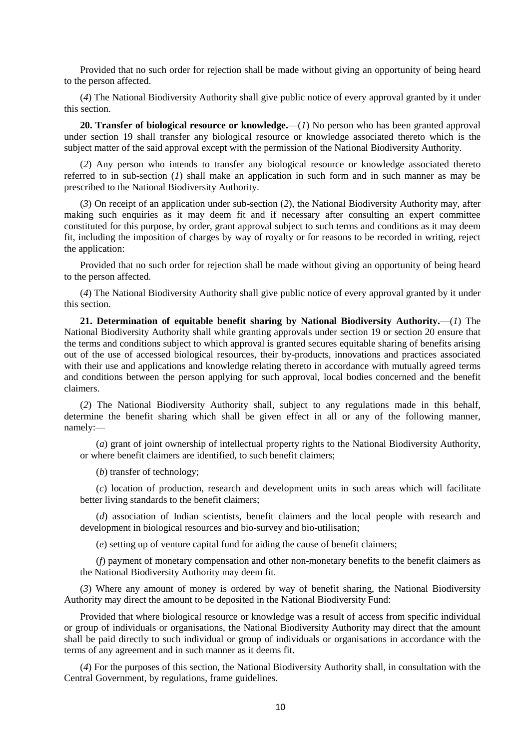Provided that no such order for rejection shall be made without giving an opportunity of being heard to the person affected.

(*4*) The National Biodiversity Authority shall give public notice of every approval granted by it under this section.

**20. Transfer of biological resource or knowledge.**—(*1*) No person who has been granted approval under section 19 shall transfer any biological resource or knowledge associated thereto which is the subject matter of the said approval except with the permission of the National Biodiversity Authority.

(*2*) Any person who intends to transfer any biological resource or knowledge associated thereto referred to in sub-section (*1*) shall make an application in such form and in such manner as may be prescribed to the National Biodiversity Authority.

(*3*) On receipt of an application under sub-section (*2*), the National Biodiversity Authority may, after making such enquiries as it may deem fit and if necessary after consulting an expert committee constituted for this purpose, by order, grant approval subject to such terms and conditions as it may deem fit, including the imposition of charges by way of royalty or for reasons to be recorded in writing, reject the application:

Provided that no such order for rejection shall be made without giving an opportunity of being heard to the person affected.

(*4*) The National Biodiversity Authority shall give public notice of every approval granted by it under this section.

**21. Determination of equitable benefit sharing by National Biodiversity Authority.**—(*1*) The National Biodiversity Authority shall while granting approvals under section 19 or section 20 ensure that the terms and conditions subject to which approval is granted secures equitable sharing of benefits arising out of the use of accessed biological resources, their by-products, innovations and practices associated with their use and applications and knowledge relating thereto in accordance with mutually agreed terms and conditions between the person applying for such approval, local bodies concerned and the benefit claimers.

(*2*) The National Biodiversity Authority shall, subject to any regulations made in this behalf, determine the benefit sharing which shall be given effect in all or any of the following manner, namely:—

(*a*) grant of joint ownership of intellectual property rights to the National Biodiversity Authority, or where benefit claimers are identified, to such benefit claimers;

(*b*) transfer of technology;

(*c*) location of production, research and development units in such areas which will facilitate better living standards to the benefit claimers;

(*d*) association of Indian scientists, benefit claimers and the local people with research and development in biological resources and bio-survey and bio-utilisation;

(*e*) setting up of venture capital fund for aiding the cause of benefit claimers;

(*f*) payment of monetary compensation and other non-monetary benefits to the benefit claimers as the National Biodiversity Authority may deem fit.

(*3*) Where any amount of money is ordered by way of benefit sharing, the National Biodiversity Authority may direct the amount to be deposited in the National Biodiversity Fund:

Provided that where biological resource or knowledge was a result of access from specific individual or group of individuals or organisations, the National Biodiversity Authority may direct that the amount shall be paid directly to such individual or group of individuals or organisations in accordance with the terms of any agreement and in such manner as it deems fit.

(*4*) For the purposes of this section, the National Biodiversity Authority shall, in consultation with the Central Government, by regulations, frame guidelines.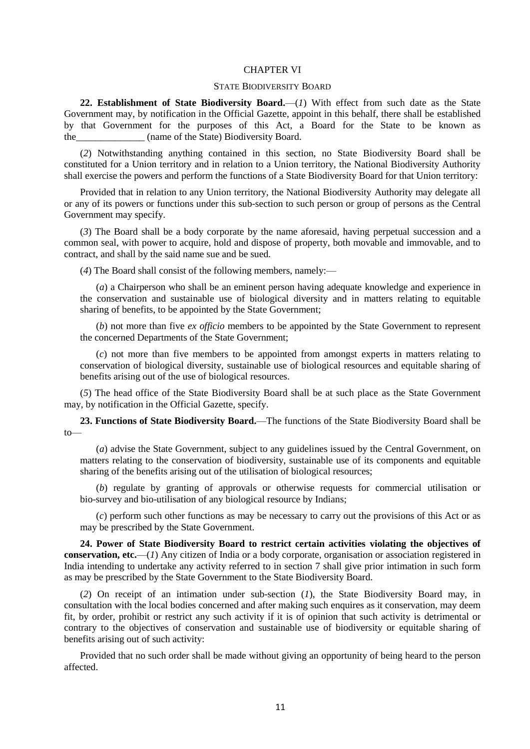#### CHAPTER VI

## STATE BIODIVERSITY BOARD

**22. Establishment of State Biodiversity Board.**—(*1*) With effect from such date as the State Government may, by notification in the Official Gazette, appoint in this behalf, there shall be established by that Government for the purposes of this Act, a Board for the State to be known as the (name of the State) Biodiversity Board.

(*2*) Notwithstanding anything contained in this section, no State Biodiversity Board shall be constituted for a Union territory and in relation to a Union territory, the National Biodiversity Authority shall exercise the powers and perform the functions of a State Biodiversity Board for that Union territory:

Provided that in relation to any Union territory, the National Biodiversity Authority may delegate all or any of its powers or functions under this sub-section to such person or group of persons as the Central Government may specify.

(*3*) The Board shall be a body corporate by the name aforesaid, having perpetual succession and a common seal, with power to acquire, hold and dispose of property, both movable and immovable, and to contract, and shall by the said name sue and be sued.

(*4*) The Board shall consist of the following members, namely:—

(*a*) a Chairperson who shall be an eminent person having adequate knowledge and experience in the conservation and sustainable use of biological diversity and in matters relating to equitable sharing of benefits, to be appointed by the State Government;

(*b*) not more than five *ex officio* members to be appointed by the State Government to represent the concerned Departments of the State Government;

(*c*) not more than five members to be appointed from amongst experts in matters relating to conservation of biological diversity, sustainable use of biological resources and equitable sharing of benefits arising out of the use of biological resources.

(*5*) The head office of the State Biodiversity Board shall be at such place as the State Government may, by notification in the Official Gazette, specify.

**23. Functions of State Biodiversity Board.**—The functions of the State Biodiversity Board shall be to—

(*a*) advise the State Government, subject to any guidelines issued by the Central Government, on matters relating to the conservation of biodiversity, sustainable use of its components and equitable sharing of the benefits arising out of the utilisation of biological resources;

(*b*) regulate by granting of approvals or otherwise requests for commercial utilisation or bio-survey and bio-utilisation of any biological resource by Indians;

(*c*) perform such other functions as may be necessary to carry out the provisions of this Act or as may be prescribed by the State Government.

**24. Power of State Biodiversity Board to restrict certain activities violating the objectives of conservation, etc.**—(*1*) Any citizen of India or a body corporate, organisation or association registered in India intending to undertake any activity referred to in section 7 shall give prior intimation in such form as may be prescribed by the State Government to the State Biodiversity Board.

(*2*) On receipt of an intimation under sub-section (*1*), the State Biodiversity Board may, in consultation with the local bodies concerned and after making such enquires as it conservation, may deem fit, by order, prohibit or restrict any such activity if it is of opinion that such activity is detrimental or contrary to the objectives of conservation and sustainable use of biodiversity or equitable sharing of benefits arising out of such activity:

Provided that no such order shall be made without giving an opportunity of being heard to the person affected.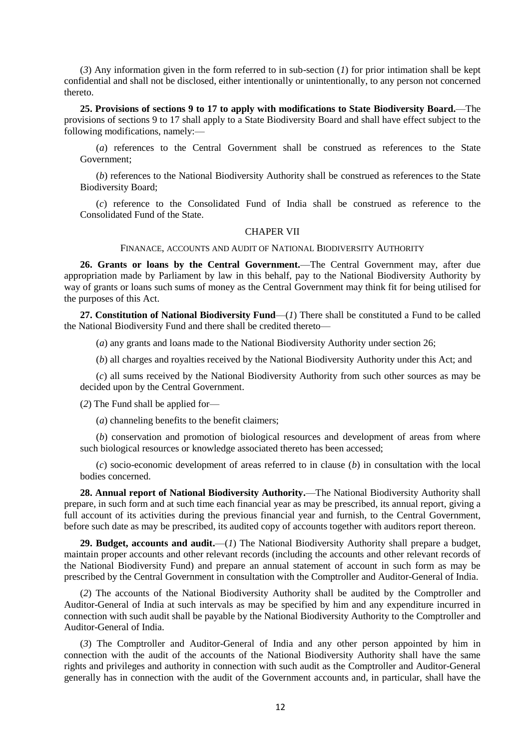(*3*) Any information given in the form referred to in sub-section (*1*) for prior intimation shall be kept confidential and shall not be disclosed, either intentionally or unintentionally, to any person not concerned thereto.

**25. Provisions of sections 9 to 17 to apply with modifications to State Biodiversity Board.**—The provisions of sections 9 to 17 shall apply to a State Biodiversity Board and shall have effect subject to the following modifications, namely:—

(*a*) references to the Central Government shall be construed as references to the State Government;

(*b*) references to the National Biodiversity Authority shall be construed as references to the State Biodiversity Board;

(*c*) reference to the Consolidated Fund of India shall be construed as reference to the Consolidated Fund of the State.

### CHAPER VII

FINANACE, ACCOUNTS AND AUDIT OF NATIONAL BIODIVERSITY AUTHORITY

**26. Grants or loans by the Central Government.**—The Central Government may, after due appropriation made by Parliament by law in this behalf, pay to the National Biodiversity Authority by way of grants or loans such sums of money as the Central Government may think fit for being utilised for the purposes of this Act.

**27. Constitution of National Biodiversity Fund**—(*1*) There shall be constituted a Fund to be called the National Biodiversity Fund and there shall be credited thereto—

(*a*) any grants and loans made to the National Biodiversity Authority under section 26;

(*b*) all charges and royalties received by the National Biodiversity Authority under this Act; and

(*c*) all sums received by the National Biodiversity Authority from such other sources as may be decided upon by the Central Government.

(*2*) The Fund shall be applied for—

(*a*) channeling benefits to the benefit claimers;

(*b*) conservation and promotion of biological resources and development of areas from where such biological resources or knowledge associated thereto has been accessed;

(*c*) socio-economic development of areas referred to in clause (*b*) in consultation with the local bodies concerned.

**28. Annual report of National Biodiversity Authority.**—The National Biodiversity Authority shall prepare, in such form and at such time each financial year as may be prescribed, its annual report, giving a full account of its activities during the previous financial year and furnish, to the Central Government, before such date as may be prescribed, its audited copy of accounts together with auditors report thereon.

**29. Budget, accounts and audit.**—(*1*) The National Biodiversity Authority shall prepare a budget, maintain proper accounts and other relevant records (including the accounts and other relevant records of the National Biodiversity Fund) and prepare an annual statement of account in such form as may be prescribed by the Central Government in consultation with the Comptroller and Auditor-General of India.

(*2*) The accounts of the National Biodiversity Authority shall be audited by the Comptroller and Auditor-General of India at such intervals as may be specified by him and any expenditure incurred in connection with such audit shall be payable by the National Biodiversity Authority to the Comptroller and Auditor-General of India.

(*3*) The Comptroller and Auditor-General of India and any other person appointed by him in connection with the audit of the accounts of the National Biodiversity Authority shall have the same rights and privileges and authority in connection with such audit as the Comptroller and Auditor-General generally has in connection with the audit of the Government accounts and, in particular, shall have the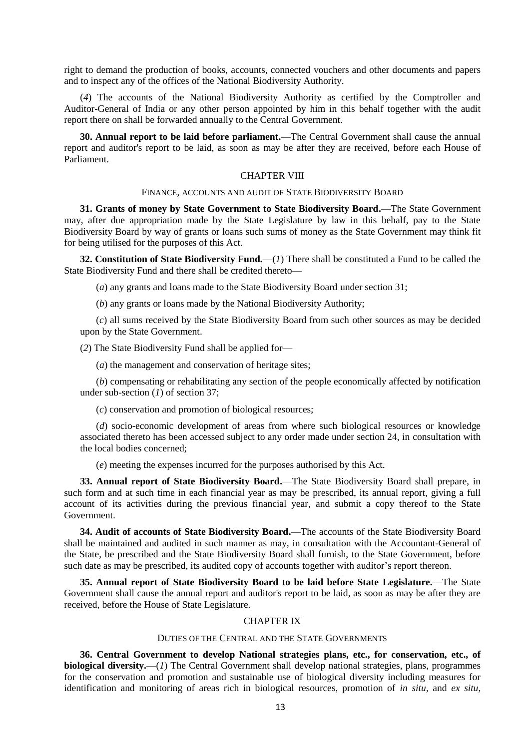right to demand the production of books, accounts, connected vouchers and other documents and papers and to inspect any of the offices of the National Biodiversity Authority.

(*4*) The accounts of the National Biodiversity Authority as certified by the Comptroller and Auditor-General of India or any other person appointed by him in this behalf together with the audit report there on shall be forwarded annually to the Central Government.

**30. Annual report to be laid before parliament.**—The Central Government shall cause the annual report and auditor's report to be laid, as soon as may be after they are received, before each House of Parliament.

# CHAPTER VIII

### FINANCE, ACCOUNTS AND AUDIT OF STATE BIODIVERSITY BOARD

**31. Grants of money by State Government to State Biodiversity Board.**—The State Government may, after due appropriation made by the State Legislature by law in this behalf, pay to the State Biodiversity Board by way of grants or loans such sums of money as the State Government may think fit for being utilised for the purposes of this Act.

**32. Constitution of State Biodiversity Fund.**—(*1*) There shall be constituted a Fund to be called the State Biodiversity Fund and there shall be credited thereto—

(*a*) any grants and loans made to the State Biodiversity Board under section 31;

(*b*) any grants or loans made by the National Biodiversity Authority;

(*c*) all sums received by the State Biodiversity Board from such other sources as may be decided upon by the State Government.

(*2*) The State Biodiversity Fund shall be applied for—

(*a*) the management and conservation of heritage sites;

(*b*) compensating or rehabilitating any section of the people economically affected by notification under sub-section (*1*) of section 37;

(*c*) conservation and promotion of biological resources;

(*d*) socio-economic development of areas from where such biological resources or knowledge associated thereto has been accessed subject to any order made under section 24, in consultation with the local bodies concerned;

(*e*) meeting the expenses incurred for the purposes authorised by this Act.

**33. Annual report of State Biodiversity Board.**—The State Biodiversity Board shall prepare, in such form and at such time in each financial year as may be prescribed, its annual report, giving a full account of its activities during the previous financial year, and submit a copy thereof to the State Government.

**34. Audit of accounts of State Biodiversity Board.**—The accounts of the State Biodiversity Board shall be maintained and audited in such manner as may, in consultation with the Accountant-General of the State, be prescribed and the State Biodiversity Board shall furnish, to the State Government, before such date as may be prescribed, its audited copy of accounts together with auditor's report thereon.

**35. Annual report of State Biodiversity Board to be laid before State Legislature.**—The State Government shall cause the annual report and auditor's report to be laid, as soon as may be after they are received, before the House of State Legislature.

# CHAPTER IX

### DUTIES OF THE CENTRAL AND THE STATE GOVERNMENTS

**36. Central Government to develop National strategies plans, etc., for conservation, etc., of biological diversity.**—(*1*) The Central Government shall develop national strategies, plans, programmes for the conservation and promotion and sustainable use of biological diversity including measures for identification and monitoring of areas rich in biological resources, promotion of *in situ*, and *ex situ*,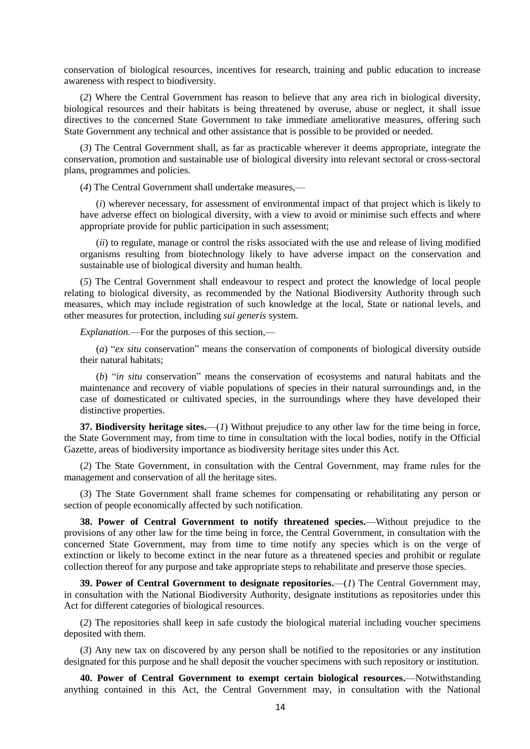conservation of biological resources, incentives for research, training and public education to increase awareness with respect to biodiversity.

(*2*) Where the Central Government has reason to believe that any area rich in biological diversity, biological resources and their habitats is being threatened by overuse, abuse or neglect, it shall issue directives to the concerned State Government to take immediate ameliorative measures, offering such State Government any technical and other assistance that is possible to be provided or needed.

(*3*) The Central Government shall, as far as practicable wherever it deems appropriate, integrate the conservation, promotion and sustainable use of biological diversity into relevant sectoral or cross-sectoral plans, programmes and policies.

(*4*) The Central Government shall undertake measures,—

(*i*) wherever necessary, for assessment of environmental impact of that project which is likely to have adverse effect on biological diversity, with a view to avoid or minimise such effects and where appropriate provide for public participation in such assessment;

(*ii*) to regulate, manage or control the risks associated with the use and release of living modified organisms resulting from biotechnology likely to have adverse impact on the conservation and sustainable use of biological diversity and human health.

(*5*) The Central Government shall endeavour to respect and protect the knowledge of local people relating to biological diversity, as recommended by the National Biodiversity Authority through such measures, which may include registration of such knowledge at the local, State or national levels, and other measures for protection, including *sui generis* system.

*Explanation*.—For the purposes of this section,—

(*a*) "*ex situ* conservation" means the conservation of components of biological diversity outside their natural habitats;

(*b*) "*in situ* conservation" means the conservation of ecosystems and natural habitats and the maintenance and recovery of viable populations of species in their natural surroundings and, in the case of domesticated or cultivated species, in the surroundings where they have developed their distinctive properties.

**37. Biodiversity heritage sites.**—(*1*) Without prejudice to any other law for the time being in force, the State Government may, from time to time in consultation with the local bodies, notify in the Official Gazette, areas of biodiversity importance as biodiversity heritage sites under this Act.

(*2*) The State Government, in consultation with the Central Government, may frame rules for the management and conservation of all the heritage sites.

(*3*) The State Government shall frame schemes for compensating or rehabilitating any person or section of people economically affected by such notification.

**38. Power of Central Government to notify threatened species.**—Without prejudice to the provisions of any other law for the time being in force, the Central Government, in consultation with the concerned State Government, may from time to time notify any species which is on the verge of extinction or likely to become extinct in the near future as a threatened species and prohibit or regulate collection thereof for any purpose and take appropriate steps to rehabilitate and preserve those species.

**39. Power of Central Government to designate repositories.**—(*1*) The Central Government may, in consultation with the National Biodiversity Authority, designate institutions as repositories under this Act for different categories of biological resources.

(*2*) The repositories shall keep in safe custody the biological material including voucher specimens deposited with them.

(*3*) Any new tax on discovered by any person shall be notified to the repositories or any institution designated for this purpose and he shall deposit the voucher specimens with such repository or institution.

**40. Power of Central Government to exempt certain biological resources.**—Notwithstanding anything contained in this Act, the Central Government may, in consultation with the National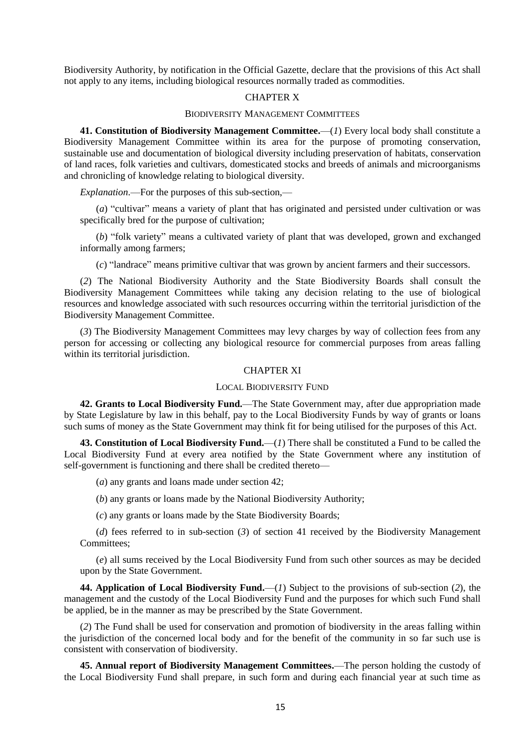Biodiversity Authority, by notification in the Official Gazette, declare that the provisions of this Act shall not apply to any items, including biological resources normally traded as commodities.

# CHAPTER X

# BIODIVERSITY MANAGEMENT COMMITTEES

**41. Constitution of Biodiversity Management Committee.**—(*1*) Every local body shall constitute a Biodiversity Management Committee within its area for the purpose of promoting conservation, sustainable use and documentation of biological diversity including preservation of habitats, conservation of land races, folk varieties and cultivars, domesticated stocks and breeds of animals and microorganisms and chronicling of knowledge relating to biological diversity.

*Explanation*.—For the purposes of this sub-section,—

(*a*) "cultivar" means a variety of plant that has originated and persisted under cultivation or was specifically bred for the purpose of cultivation;

(*b*) "folk variety" means a cultivated variety of plant that was developed, grown and exchanged informally among farmers;

(*c*) "landrace" means primitive cultivar that was grown by ancient farmers and their successors.

(*2*) The National Biodiversity Authority and the State Biodiversity Boards shall consult the Biodiversity Management Committees while taking any decision relating to the use of biological resources and knowledge associated with such resources occurring within the territorial jurisdiction of the Biodiversity Management Committee.

(*3*) The Biodiversity Management Committees may levy charges by way of collection fees from any person for accessing or collecting any biological resource for commercial purposes from areas falling within its territorial jurisdiction.

# CHAPTER XI

#### LOCAL BIODIVERSITY FUND

**42. Grants to Local Biodiversity Fund.**—The State Government may, after due appropriation made by State Legislature by law in this behalf, pay to the Local Biodiversity Funds by way of grants or loans such sums of money as the State Government may think fit for being utilised for the purposes of this Act.

**43. Constitution of Local Biodiversity Fund.**—(*1*) There shall be constituted a Fund to be called the Local Biodiversity Fund at every area notified by the State Government where any institution of self-government is functioning and there shall be credited thereto—

(*a*) any grants and loans made under section 42;

(*b*) any grants or loans made by the National Biodiversity Authority;

(*c*) any grants or loans made by the State Biodiversity Boards;

(*d*) fees referred to in sub-section (*3*) of section 41 received by the Biodiversity Management Committees<sup>.</sup>

(*e*) all sums received by the Local Biodiversity Fund from such other sources as may be decided upon by the State Government.

**44. Application of Local Biodiversity Fund.**—(*1*) Subject to the provisions of sub-section (*2*), the management and the custody of the Local Biodiversity Fund and the purposes for which such Fund shall be applied, be in the manner as may be prescribed by the State Government.

(*2*) The Fund shall be used for conservation and promotion of biodiversity in the areas falling within the jurisdiction of the concerned local body and for the benefit of the community in so far such use is consistent with conservation of biodiversity.

**45. Annual report of Biodiversity Management Committees.**—The person holding the custody of the Local Biodiversity Fund shall prepare, in such form and during each financial year at such time as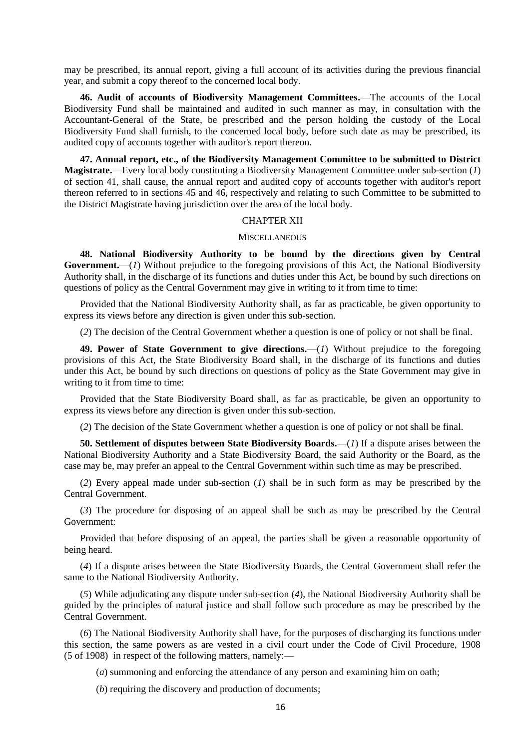may be prescribed, its annual report, giving a full account of its activities during the previous financial year, and submit a copy thereof to the concerned local body.

**46. Audit of accounts of Biodiversity Management Committees.**—The accounts of the Local Biodiversity Fund shall be maintained and audited in such manner as may, in consultation with the Accountant-General of the State, be prescribed and the person holding the custody of the Local Biodiversity Fund shall furnish, to the concerned local body, before such date as may be prescribed, its audited copy of accounts together with auditor's report thereon.

**47. Annual report, etc., of the Biodiversity Management Committee to be submitted to District Magistrate.**—Every local body constituting a Biodiversity Management Committee under sub-section (*1*) of section 41, shall cause, the annual report and audited copy of accounts together with auditor's report thereon referred to in sections 45 and 46, respectively and relating to such Committee to be submitted to the District Magistrate having jurisdiction over the area of the local body.

# CHAPTER XII

### **MISCELLANEOUS**

**48. National Biodiversity Authority to be bound by the directions given by Central Government.**—(*1*) Without prejudice to the foregoing provisions of this Act, the National Biodiversity Authority shall, in the discharge of its functions and duties under this Act, be bound by such directions on questions of policy as the Central Government may give in writing to it from time to time:

Provided that the National Biodiversity Authority shall, as far as practicable, be given opportunity to express its views before any direction is given under this sub-section.

(*2*) The decision of the Central Government whether a question is one of policy or not shall be final.

**49. Power of State Government to give directions.**—(*1*) Without prejudice to the foregoing provisions of this Act, the State Biodiversity Board shall, in the discharge of its functions and duties under this Act, be bound by such directions on questions of policy as the State Government may give in writing to it from time to time:

Provided that the State Biodiversity Board shall, as far as practicable, be given an opportunity to express its views before any direction is given under this sub-section.

(*2*) The decision of the State Government whether a question is one of policy or not shall be final.

**50. Settlement of disputes between State Biodiversity Boards.**—(*1*) If a dispute arises between the National Biodiversity Authority and a State Biodiversity Board, the said Authority or the Board, as the case may be, may prefer an appeal to the Central Government within such time as may be prescribed.

(*2*) Every appeal made under sub-section (*1*) shall be in such form as may be prescribed by the Central Government.

(*3*) The procedure for disposing of an appeal shall be such as may be prescribed by the Central Government:

Provided that before disposing of an appeal, the parties shall be given a reasonable opportunity of being heard.

(*4*) If a dispute arises between the State Biodiversity Boards, the Central Government shall refer the same to the National Biodiversity Authority.

(*5*) While adjudicating any dispute under sub-section (*4*), the National Biodiversity Authority shall be guided by the principles of natural justice and shall follow such procedure as may be prescribed by the Central Government.

(*6*) The National Biodiversity Authority shall have, for the purposes of discharging its functions under this section, the same powers as are vested in a civil court under the Code of Civil Procedure, 1908 (5 of 1908) in respect of the following matters, namely:—

(*a*) summoning and enforcing the attendance of any person and examining him on oath;

(*b*) requiring the discovery and production of documents;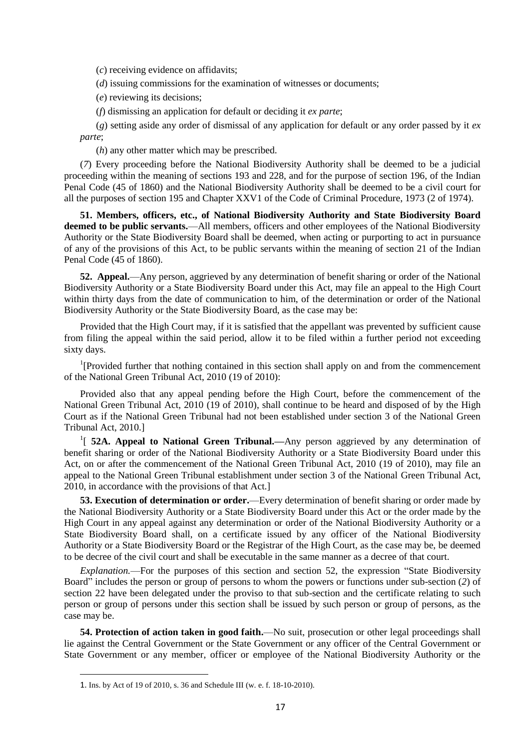(*c*) receiving evidence on affidavits;

(*d*) issuing commissions for the examination of witnesses or documents;

(*e*) reviewing its decisions;

(*f*) dismissing an application for default or deciding it *ex parte*;

(*g*) setting aside any order of dismissal of any application for default or any order passed by it *ex parte*;

(*h*) any other matter which may be prescribed.

(*7*) Every proceeding before the National Biodiversity Authority shall be deemed to be a judicial proceeding within the meaning of sections 193 and 228, and for the purpose of section 196, of the Indian Penal Code (45 of 1860) and the National Biodiversity Authority shall be deemed to be a civil court for all the purposes of section 195 and Chapter XXV1 of the Code of Criminal Procedure, 1973 (2 of 1974).

**51. Members, officers, etc., of National Biodiversity Authority and State Biodiversity Board deemed to be public servants.**—All members, officers and other employees of the National Biodiversity Authority or the State Biodiversity Board shall be deemed, when acting or purporting to act in pursuance of any of the provisions of this Act, to be public servants within the meaning of section 21 of the Indian Penal Code (45 of 1860).

**52. Appeal.**—Any person, aggrieved by any determination of benefit sharing or order of the National Biodiversity Authority or a State Biodiversity Board under this Act, may file an appeal to the High Court within thirty days from the date of communication to him, of the determination or order of the National Biodiversity Authority or the State Biodiversity Board, as the case may be:

Provided that the High Court may, if it is satisfied that the appellant was prevented by sufficient cause from filing the appeal within the said period, allow it to be filed within a further period not exceeding sixty days.

<sup>1</sup>[Provided further that nothing contained in this section shall apply on and from the commencement of the National Green Tribunal Act, 2010 (19 of 2010):

Provided also that any appeal pending before the High Court, before the commencement of the National Green Tribunal Act, 2010 (19 of 2010), shall continue to be heard and disposed of by the High Court as if the National Green Tribunal had not been established under section 3 of the National Green Tribunal Act, 2010.]

<sup>1</sup>[ **52A. Appeal to National Green Tribunal.**—Any person aggrieved by any determination of benefit sharing or order of the National Biodiversity Authority or a State Biodiversity Board under this Act, on or after the commencement of the National Green Tribunal Act, 2010 (19 of 2010), may file an appeal to the National Green Tribunal establishment under section 3 of the National Green Tribunal Act, 2010, in accordance with the provisions of that Act.]

**53. Execution of determination or order.**—Every determination of benefit sharing or order made by the National Biodiversity Authority or a State Biodiversity Board under this Act or the order made by the High Court in any appeal against any determination or order of the National Biodiversity Authority or a State Biodiversity Board shall, on a certificate issued by any officer of the National Biodiversity Authority or a State Biodiversity Board or the Registrar of the High Court, as the case may be, be deemed to be decree of the civil court and shall be executable in the same manner as a decree of that court.

*Explanation.*—For the purposes of this section and section 52, the expression "State Biodiversity Board" includes the person or group of persons to whom the powers or functions under sub-section (*2*) of section 22 have been delegated under the proviso to that sub-section and the certificate relating to such person or group of persons under this section shall be issued by such person or group of persons, as the case may be.

**54. Protection of action taken in good faith.**—No suit, prosecution or other legal proceedings shall lie against the Central Government or the State Government or any officer of the Central Government or State Government or any member, officer or employee of the National Biodiversity Authority or the

1

<sup>1.</sup> Ins. by Act of 19 of 2010, s. 36 and Schedule III (w. e. f. 18-10-2010).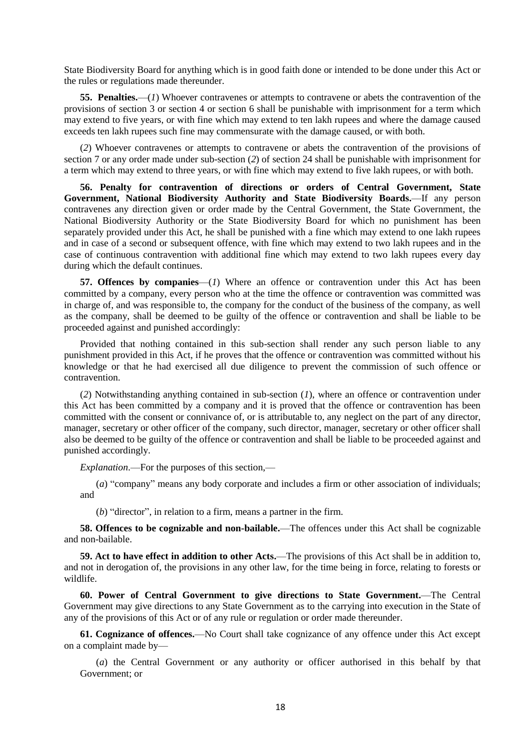State Biodiversity Board for anything which is in good faith done or intended to be done under this Act or the rules or regulations made thereunder.

**55. Penalties.**—(*1*) Whoever contravenes or attempts to contravene or abets the contravention of the provisions of section 3 or section 4 or section 6 shall be punishable with imprisonment for a term which may extend to five years, or with fine which may extend to ten lakh rupees and where the damage caused exceeds ten lakh rupees such fine may commensurate with the damage caused, or with both.

(*2*) Whoever contravenes or attempts to contravene or abets the contravention of the provisions of section 7 or any order made under sub-section (*2*) of section 24 shall be punishable with imprisonment for a term which may extend to three years, or with fine which may extend to five lakh rupees, or with both.

**56. Penalty for contravention of directions or orders of Central Government, State Government, National Biodiversity Authority and State Biodiversity Boards.**—If any person contravenes any direction given or order made by the Central Government, the State Government, the National Biodiversity Authority or the State Biodiversity Board for which no punishment has been separately provided under this Act, he shall be punished with a fine which may extend to one lakh rupees and in case of a second or subsequent offence, with fine which may extend to two lakh rupees and in the case of continuous contravention with additional fine which may extend to two lakh rupees every day during which the default continues.

**57. Offences by companies**—(*1*) Where an offence or contravention under this Act has been committed by a company, every person who at the time the offence or contravention was committed was in charge of, and was responsible to, the company for the conduct of the business of the company, as well as the company, shall be deemed to be guilty of the offence or contravention and shall be liable to be proceeded against and punished accordingly:

Provided that nothing contained in this sub-section shall render any such person liable to any punishment provided in this Act, if he proves that the offence or contravention was committed without his knowledge or that he had exercised all due diligence to prevent the commission of such offence or contravention.

(*2*) Notwithstanding anything contained in sub-section (*1*), where an offence or contravention under this Act has been committed by a company and it is proved that the offence or contravention has been committed with the consent or connivance of, or is attributable to, any neglect on the part of any director, manager, secretary or other officer of the company, such director, manager, secretary or other officer shall also be deemed to be guilty of the offence or contravention and shall be liable to be proceeded against and punished accordingly.

*Explanation*.—For the purposes of this section,—

(*a*) "company" means any body corporate and includes a firm or other association of individuals; and

(*b*) "director", in relation to a firm, means a partner in the firm.

**58. Offences to be cognizable and non-bailable.**—The offences under this Act shall be cognizable and non-bailable.

**59. Act to have effect in addition to other Acts.**—The provisions of this Act shall be in addition to, and not in derogation of, the provisions in any other law, for the time being in force, relating to forests or wildlife.

**60. Power of Central Government to give directions to State Government.**—The Central Government may give directions to any State Government as to the carrying into execution in the State of any of the provisions of this Act or of any rule or regulation or order made thereunder.

**61. Cognizance of offences.**—No Court shall take cognizance of any offence under this Act except on a complaint made by—

(*a*) the Central Government or any authority or officer authorised in this behalf by that Government; or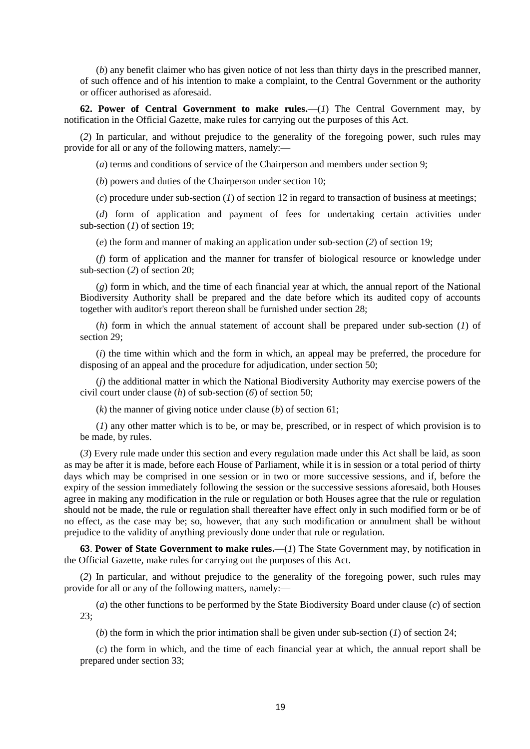(*b*) any benefit claimer who has given notice of not less than thirty days in the prescribed manner, of such offence and of his intention to make a complaint, to the Central Government or the authority or officer authorised as aforesaid.

**62. Power of Central Government to make rules.**—(*1*) The Central Government may, by notification in the Official Gazette, make rules for carrying out the purposes of this Act.

(*2*) In particular, and without prejudice to the generality of the foregoing power, such rules may provide for all or any of the following matters, namely:—

(*a*) terms and conditions of service of the Chairperson and members under section 9;

(*b*) powers and duties of the Chairperson under section 10;

(*c*) procedure under sub-section (*1*) of section 12 in regard to transaction of business at meetings;

(*d*) form of application and payment of fees for undertaking certain activities under sub-section (*1*) of section 19;

(*e*) the form and manner of making an application under sub-section (*2*) of section 19;

(*f*) form of application and the manner for transfer of biological resource or knowledge under sub-section (*2*) of section 20;

(*g*) form in which, and the time of each financial year at which, the annual report of the National Biodiversity Authority shall be prepared and the date before which its audited copy of accounts together with auditor's report thereon shall be furnished under section 28;

(*h*) form in which the annual statement of account shall be prepared under sub-section (*1*) of section 29;

(*i*) the time within which and the form in which, an appeal may be preferred, the procedure for disposing of an appeal and the procedure for adjudication, under section 50;

(*j*) the additional matter in which the National Biodiversity Authority may exercise powers of the civil court under clause (*h*) of sub-section (*6*) of section 50;

(*k*) the manner of giving notice under clause (*b*) of section 61;

(*1*) any other matter which is to be, or may be, prescribed, or in respect of which provision is to be made, by rules.

(*3*) Every rule made under this section and every regulation made under this Act shall be laid, as soon as may be after it is made, before each House of Parliament, while it is in session or a total period of thirty days which may be comprised in one session or in two or more successive sessions, and if, before the expiry of the session immediately following the session or the successive sessions aforesaid, both Houses agree in making any modification in the rule or regulation or both Houses agree that the rule or regulation should not be made, the rule or regulation shall thereafter have effect only in such modified form or be of no effect, as the case may be; so, however, that any such modification or annulment shall be without prejudice to the validity of anything previously done under that rule or regulation.

**63**. **Power of State Government to make rules.**—(*1*) The State Government may, by notification in the Official Gazette, make rules for carrying out the purposes of this Act.

(*2*) In particular, and without prejudice to the generality of the foregoing power, such rules may provide for all or any of the following matters, namely:—

(*a*) the other functions to be performed by the State Biodiversity Board under clause (*c*) of section 23;

(*b*) the form in which the prior intimation shall be given under sub-section (*1*) of section 24;

(*c*) the form in which, and the time of each financial year at which, the annual report shall be prepared under section 33;